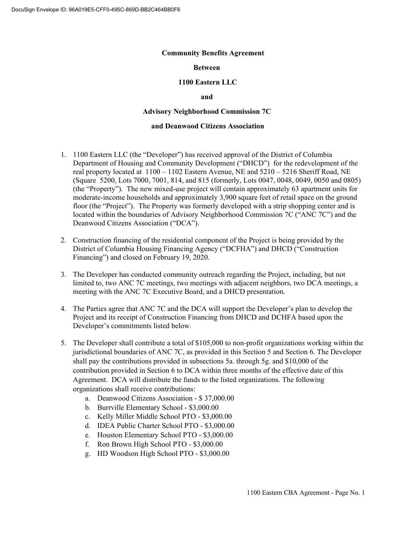#### **Community Benefits Agreement**

### **Between**

### **1100 Eastern LLC**

### **and**

### **Advisory Neighborhood Commission 7C**

## **and Deanwood Citizens Association**

- 1. 1100 Eastern LLC (the "Developer") has received approval of the District of Columbia Department of Housing and Community Development ("DHCD") for the redevelopment of the real property located at 1100 – 1102 Eastern Avenue, NE and 5210 – 5216 Sheriff Road, NE (Square 5200, Lots 7000, 7001, 814, and 815 (formerly, Lots 0047, 0048, 0049, 0050 and 0805) (the "Property"). The new mixed-use project will contain approximately 63 apartment units for moderate-income households and approximately 3,900 square feet of retail space on the ground floor (the "Project"). The Property was formerly developed with a strip shopping center and is located within the boundaries of Advisory Neighborhood Commission 7C ("ANC 7C") and the Deanwood Citizens Association ("DCA").
- 2. Construction financing of the residential component of the Project is being provided by the District of Columbia Housing Financing Agency ("DCFHA") and DHCD ("Construction Financing") and closed on February 19, 2020.
- 3. The Developer has conducted community outreach regarding the Project, including, but not limited to, two ANC 7C meetings, two meetings with adjacent neighbors, two DCA meetings, a meeting with the ANC 7C Executive Board, and a DHCD presentation.
- 4. The Parties agree that ANC 7C and the DCA will support the Developer's plan to develop the Project and its receipt of Construction Financing from DHCD and DCHFA based upon the Developer's commitments listed below.
- 5. The Developer shall contribute a total of \$105,000 to non-profit organizations working within the jurisdictional boundaries of ANC 7C, as provided in this Section 5 and Section 6. The Developer shall pay the contributions provided in subsections 5a. through 5g. and \$10,000 of the contribution provided in Section 6 to DCA within three months of the effective date of this Agreement. DCA will distribute the funds to the listed organizations. The following organizations shall receive contributions:
	- a. Deanwood Citizens Association \$ 37,000.00
	- b. Burrville Elementary School \$3,000.00
	- c. Kelly Miller Middle School PTO \$3,000.00
	- d. IDEA Public Charter School PTO \$3,000.00
	- e. Houston Elementary School PTO \$3,000.00
	- f. Ron Brown High School PTO \$3,000.00
	- g. HD Woodson High School PTO \$3,000.00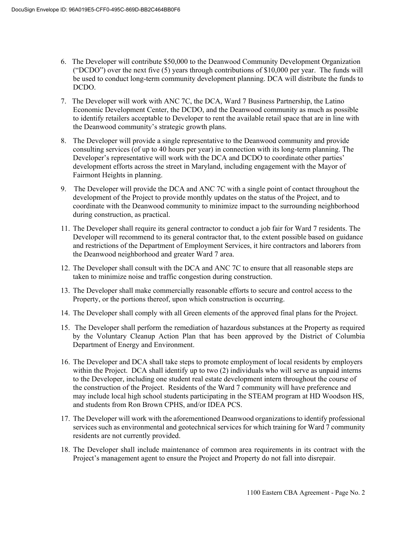- 6. The Developer will contribute \$50,000 to the Deanwood Community Development Organization ("DCDO") over the next five  $(5)$  years through contributions of \$10,000 per year. The funds will be used to conduct long-term community development planning. DCA will distribute the funds to DCDO.
- 7. The Developer will work with ANC 7C, the DCA, Ward 7 Business Partnership, the Latino Economic Development Center, the DCDO, and the Deanwood community as much as possible to identify retailers acceptable to Developer to rent the available retail space that are in line with the Deanwood community's strategic growth plans.
- 8. The Developer will provide a single representative to the Deanwood community and provide consulting services (of up to 40 hours per year) in connection with its long-term planning. The Developer's representative will work with the DCA and DCDO to coordinate other parties' development efforts across the street in Maryland, including engagement with the Mayor of Fairmont Heights in planning.
- 9. The Developer will provide the DCA and ANC 7C with a single point of contact throughout the development of the Project to provide monthly updates on the status of the Project, and to coordinate with the Deanwood community to minimize impact to the surrounding neighborhood during construction, as practical.
- 11. The Developer shall require its general contractor to conduct a job fair for Ward 7 residents. The Developer will recommend to its general contractor that, to the extent possible based on guidance and restrictions of the Department of Employment Services, it hire contractors and laborers from the Deanwood neighborhood and greater Ward 7 area.
- 12. The Developer shall consult with the DCA and ANC 7C to ensure that all reasonable steps are taken to minimize noise and traffic congestion during construction.
- 13. The Developer shall make commercially reasonable efforts to secure and control access to the Property, or the portions thereof, upon which construction is occurring.
- 14. The Developer shall comply with all Green elements of the approved final plans for the Project.
- 15. The Developer shall perform the remediation of hazardous substances at the Property as required by the Voluntary Cleanup Action Plan that has been approved by the District of Columbia Department of Energy and Environment.
- 16. The Developer and DCA shall take steps to promote employment of local residents by employers within the Project. DCA shall identify up to two (2) individuals who will serve as unpaid interns to the Developer, including one student real estate development intern throughout the course of the construction of the Project. Residents of the Ward 7 community will have preference and may include local high school students participating in the STEAM program at HD Woodson HS, and students from Ron Brown CPHS, and/or IDEA PCS.
- 17. The Developer will work with the aforementioned Deanwood organizations to identify professional services such as environmental and geotechnical services for which training for Ward 7 community residents are not currently provided.
- 18. The Developer shall include maintenance of common area requirements in its contract with the Project's management agent to ensure the Project and Property do not fall into disrepair.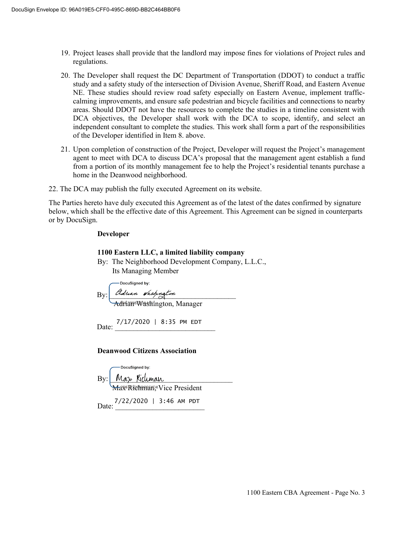- 19. Project leases shall provide that the landlord may impose fines for violations of Project rules and regulations.
- 20. The Developer shall request the DC Department of Transportation (DDOT) to conduct a traffic study and a safety study of the intersection of Division Avenue, Sheriff Road, and Eastern Avenue NE. These studies should review road safety especially on Eastern Avenue, implement trafficcalming improvements, and ensure safe pedestrian and bicycle facilities and connections to nearby areas. Should DDOT not have the resources to complete the studies in a timeline consistent with DCA objectives, the Developer shall work with the DCA to scope, identify, and select an independent consultant to complete the studies. This work shall form a part of the responsibilities of the Developer identified in Item 8. above.
- 21. Upon completion of construction of the Project, Developer will request the Project's management agent to meet with DCA to discuss DCA's proposal that the management agent establish a fund from a portion of its monthly management fee to help the Project's residential tenants purchase a home in the Deanwood neighborhood.
- 22. The DCA may publish the fully executed Agreement on its website.

The Parties hereto have duly executed this Agreement as of the latest of the dates confirmed by signature below, which shall be the effective date of this Agreement. This Agreement can be signed in counterparts or by DocuSign.

### **Developer**

## **1100 Eastern LLC, a limited liability company**

By: The Neighborhood Development Company, L.L.C., Its Managing Member

-DocuSigned by:  $\mathrm{By:}\xrightarrow{\text{Pduan}}$  Washington Adrian Washington, Manager

 $7/17/2020$  | 8:35 PM EDT

## **Deanwood Citizens Association**

| -DocuSigned by:                                    |
|----------------------------------------------------|
| By: Max Kicluman<br>Max=RYCHAPPAPAP+Vice President |
|                                                    |
| Date: 7/22/2020   3:46 AM PDT                      |